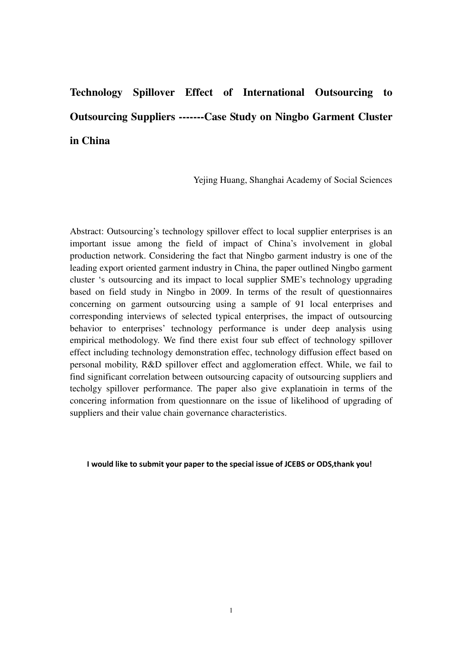# **Technology Spillover Effect of International Outsourcing to Outsourcing Suppliers -------Case Study on Ningbo Garment Cluster in China**

Yejing Huang, Shanghai Academy of Social Sciences

Abstract: Outsourcing's technology spillover effect to local supplier enterprises is an important issue among the field of impact of China's involvement in global production network. Considering the fact that Ningbo garment industry is one of the leading export oriented garment industry in China, the paper outlined Ningbo garment cluster 's outsourcing and its impact to local supplier SME's technology upgrading based on field study in Ningbo in 2009. In terms of the result of questionnaires concerning on garment outsourcing using a sample of 91 local enterprises and corresponding interviews of selected typical enterprises, the impact of outsourcing behavior to enterprises' technology performance is under deep analysis using empirical methodology. We find there exist four sub effect of technology spillover effect including technology demonstration effec, technology diffusion effect based on personal mobility, R&D spillover effect and agglomeration effect. While, we fail to find significant correlation between outsourcing capacity of outsourcing suppliers and techolgy spillover performance. The paper also give explanatioin in terms of the concering information from questionnare on the issue of likelihood of upgrading of suppliers and their value chain governance characteristics.

I would like to submit your paper to the special issue of JCEBS or ODS,thank you!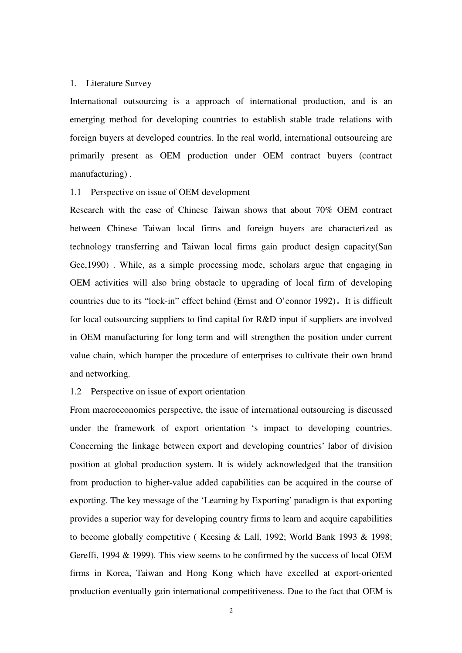#### 1. Literature Survey

International outsourcing is a approach of international production, and is an emerging method for developing countries to establish stable trade relations with foreign buyers at developed countries. In the real world, international outsourcing are primarily present as OEM production under OEM contract buyers (contract manufacturing) .

# 1.1 Perspective on issue of OEM development

Research with the case of Chinese Taiwan shows that about 70% OEM contract between Chinese Taiwan local firms and foreign buyers are characterized as technology transferring and Taiwan local firms gain product design capacity(San Gee,1990) . While, as a simple processing mode, scholars argue that engaging in OEM activities will also bring obstacle to upgrading of local firm of developing countries due to its "lock-in" effect behind (Ernst and O'connor 1992)。It is difficult for local outsourcing suppliers to find capital for R&D input if suppliers are involved in OEM manufacturing for long term and will strengthen the position under current value chain, which hamper the procedure of enterprises to cultivate their own brand and networking.

#### 1.2 Perspective on issue of export orientation

From macroeconomics perspective, the issue of international outsourcing is discussed under the framework of export orientation 's impact to developing countries. Concerning the linkage between export and developing countries' labor of division position at global production system. It is widely acknowledged that the transition from production to higher-value added capabilities can be acquired in the course of exporting. The key message of the 'Learning by Exporting' paradigm is that exporting provides a superior way for developing country firms to learn and acquire capabilities to become globally competitive ( Keesing & Lall, 1992; World Bank 1993 & 1998; Gereffi, 1994 & 1999). This view seems to be confirmed by the success of local OEM firms in Korea, Taiwan and Hong Kong which have excelled at export-oriented production eventually gain international competitiveness. Due to the fact that OEM is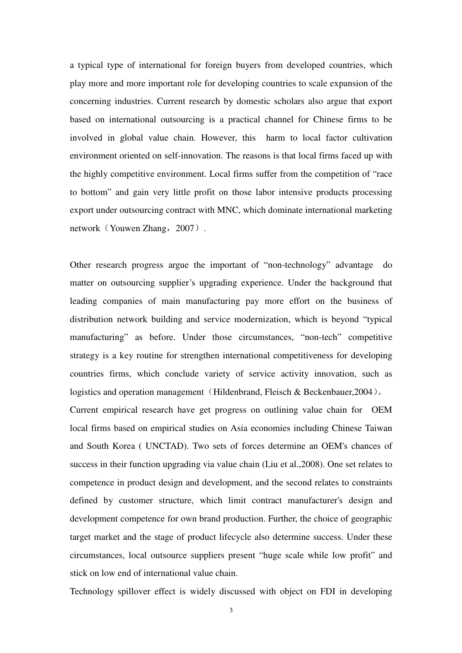a typical type of international for foreign buyers from developed countries, which play more and more important role for developing countries to scale expansion of the concerning industries. Current research by domestic scholars also argue that export based on international outsourcing is a practical channel for Chinese firms to be involved in global value chain. However, this harm to local factor cultivation environment oriented on self-innovation. The reasons is that local firms faced up with the highly competitive environment. Local firms suffer from the competition of "race to bottom" and gain very little profit on those labor intensive products processing export under outsourcing contract with MNC, which dominate international marketing network (Youwen Zhang, 2007).

Other research progress argue the important of "non-technology" advantage do matter on outsourcing supplier's upgrading experience. Under the background that leading companies of main manufacturing pay more effort on the business of distribution network building and service modernization, which is beyond "typical manufacturing" as before. Under those circumstances, "non-tech" competitive strategy is a key routine for strengthen international competitiveness for developing countries firms, which conclude variety of service activity innovation, such as logistics and operation management (Hildenbrand, Fleisch & Beckenbauer, 2004). Current empirical research have get progress on outlining value chain for OEM local firms based on empirical studies on Asia economies including Chinese Taiwan and South Korea ( UNCTAD). Two sets of forces determine an OEM's chances of success in their function upgrading via value chain (Liu et al.,2008). One set relates to competence in product design and development, and the second relates to constraints defined by customer structure, which limit contract manufacturer's design and development competence for own brand production. Further, the choice of geographic target market and the stage of product lifecycle also determine success. Under these circumstances, local outsource suppliers present "huge scale while low profit" and stick on low end of international value chain.

Technology spillover effect is widely discussed with object on FDI in developing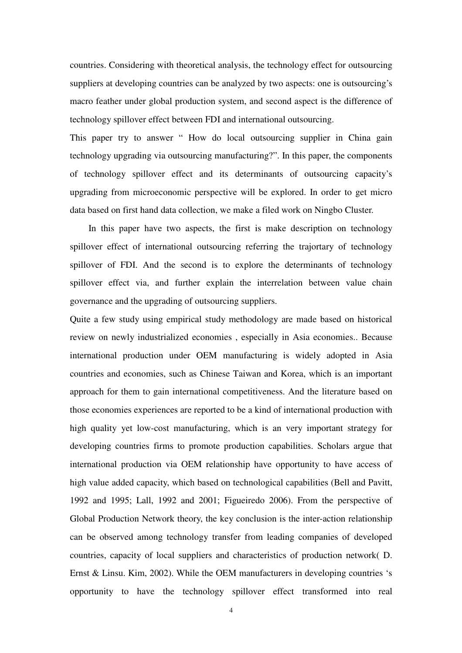countries. Considering with theoretical analysis, the technology effect for outsourcing suppliers at developing countries can be analyzed by two aspects: one is outsourcing's macro feather under global production system, and second aspect is the difference of technology spillover effect between FDI and international outsourcing.

This paper try to answer " How do local outsourcing supplier in China gain technology upgrading via outsourcing manufacturing?". In this paper, the components of technology spillover effect and its determinants of outsourcing capacity's upgrading from microeconomic perspective will be explored. In order to get micro data based on first hand data collection, we make a filed work on Ningbo Cluster.

In this paper have two aspects, the first is make description on technology spillover effect of international outsourcing referring the trajortary of technology spillover of FDI. And the second is to explore the determinants of technology spillover effect via, and further explain the interrelation between value chain governance and the upgrading of outsourcing suppliers.

Quite a few study using empirical study methodology are made based on historical review on newly industrialized economies , especially in Asia economies.. Because international production under OEM manufacturing is widely adopted in Asia countries and economies, such as Chinese Taiwan and Korea, which is an important approach for them to gain international competitiveness. And the literature based on those economies experiences are reported to be a kind of international production with high quality yet low-cost manufacturing, which is an very important strategy for developing countries firms to promote production capabilities. Scholars argue that international production via OEM relationship have opportunity to have access of high value added capacity, which based on technological capabilities (Bell and Pavitt, 1992 and 1995; Lall, 1992 and 2001; Figueiredo 2006). From the perspective of Global Production Network theory, the key conclusion is the inter-action relationship can be observed among technology transfer from leading companies of developed countries, capacity of local suppliers and characteristics of production network( D. Ernst & Linsu. Kim, 2002). While the OEM manufacturers in developing countries 's opportunity to have the technology spillover effect transformed into real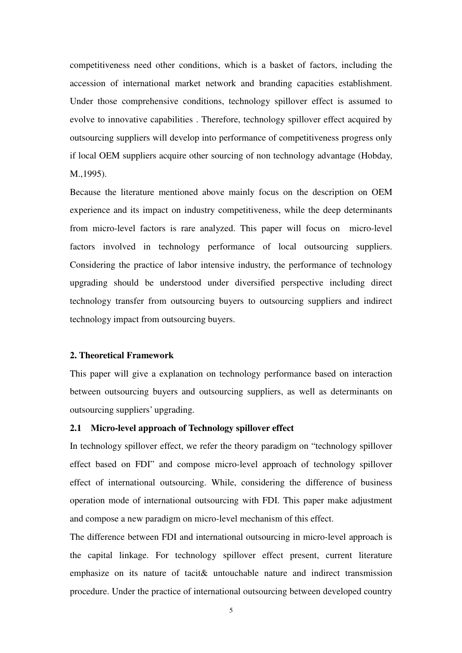competitiveness need other conditions, which is a basket of factors, including the accession of international market network and branding capacities establishment. Under those comprehensive conditions, technology spillover effect is assumed to evolve to innovative capabilities . Therefore, technology spillover effect acquired by outsourcing suppliers will develop into performance of competitiveness progress only if local OEM suppliers acquire other sourcing of non technology advantage (Hobday, M.,1995).

Because the literature mentioned above mainly focus on the description on OEM experience and its impact on industry competitiveness, while the deep determinants from micro-level factors is rare analyzed. This paper will focus on micro-level factors involved in technology performance of local outsourcing suppliers. Considering the practice of labor intensive industry, the performance of technology upgrading should be understood under diversified perspective including direct technology transfer from outsourcing buyers to outsourcing suppliers and indirect technology impact from outsourcing buyers.

# **2. Theoretical Framework**

This paper will give a explanation on technology performance based on interaction between outsourcing buyers and outsourcing suppliers, as well as determinants on outsourcing suppliers' upgrading.

# **2.1 Micro-level approach of Technology spillover effect**

In technology spillover effect, we refer the theory paradigm on "technology spillover effect based on FDI" and compose micro-level approach of technology spillover effect of international outsourcing. While, considering the difference of business operation mode of international outsourcing with FDI. This paper make adjustment and compose a new paradigm on micro-level mechanism of this effect.

The difference between FDI and international outsourcing in micro-level approach is the capital linkage. For technology spillover effect present, current literature emphasize on its nature of tacit& untouchable nature and indirect transmission procedure. Under the practice of international outsourcing between developed country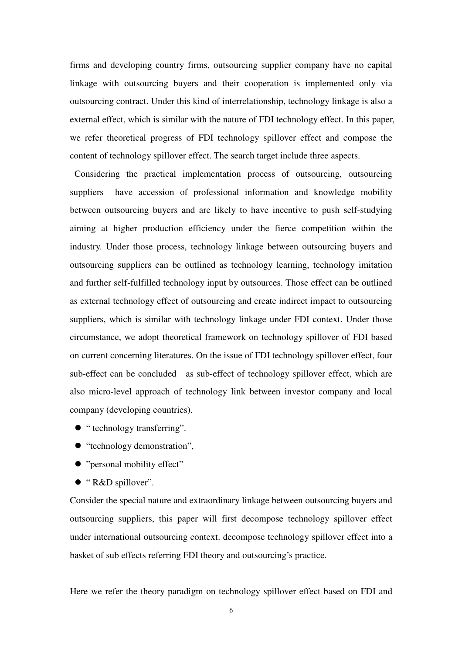firms and developing country firms, outsourcing supplier company have no capital linkage with outsourcing buyers and their cooperation is implemented only via outsourcing contract. Under this kind of interrelationship, technology linkage is also a external effect, which is similar with the nature of FDI technology effect. In this paper, we refer theoretical progress of FDI technology spillover effect and compose the content of technology spillover effect. The search target include three aspects.

 Considering the practical implementation process of outsourcing, outsourcing suppliers have accession of professional information and knowledge mobility between outsourcing buyers and are likely to have incentive to push self-studying aiming at higher production efficiency under the fierce competition within the industry. Under those process, technology linkage between outsourcing buyers and outsourcing suppliers can be outlined as technology learning, technology imitation and further self-fulfilled technology input by outsources. Those effect can be outlined as external technology effect of outsourcing and create indirect impact to outsourcing suppliers, which is similar with technology linkage under FDI context. Under those circumstance, we adopt theoretical framework on technology spillover of FDI based on current concerning literatures. On the issue of FDI technology spillover effect, four sub-effect can be concluded as sub-effect of technology spillover effect, which are also micro-level approach of technology link between investor company and local company (developing countries).

- $\bullet$  " technology transferring".
- $\bullet$  "technology demonstration",
- "personal mobility effect"
- "R&D spillover".

Consider the special nature and extraordinary linkage between outsourcing buyers and outsourcing suppliers, this paper will first decompose technology spillover effect under international outsourcing context. decompose technology spillover effect into a basket of sub effects referring FDI theory and outsourcing's practice.

Here we refer the theory paradigm on technology spillover effect based on FDI and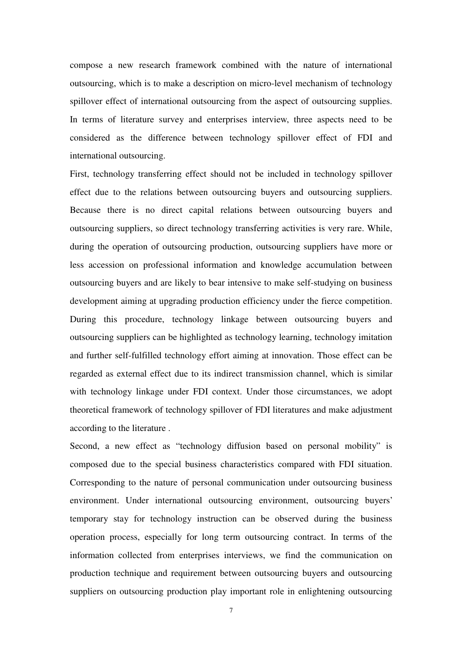compose a new research framework combined with the nature of international outsourcing, which is to make a description on micro-level mechanism of technology spillover effect of international outsourcing from the aspect of outsourcing supplies. In terms of literature survey and enterprises interview, three aspects need to be considered as the difference between technology spillover effect of FDI and international outsourcing.

First, technology transferring effect should not be included in technology spillover effect due to the relations between outsourcing buyers and outsourcing suppliers. Because there is no direct capital relations between outsourcing buyers and outsourcing suppliers, so direct technology transferring activities is very rare. While, during the operation of outsourcing production, outsourcing suppliers have more or less accession on professional information and knowledge accumulation between outsourcing buyers and are likely to bear intensive to make self-studying on business development aiming at upgrading production efficiency under the fierce competition. During this procedure, technology linkage between outsourcing buyers and outsourcing suppliers can be highlighted as technology learning, technology imitation and further self-fulfilled technology effort aiming at innovation. Those effect can be regarded as external effect due to its indirect transmission channel, which is similar with technology linkage under FDI context. Under those circumstances, we adopt theoretical framework of technology spillover of FDI literatures and make adjustment according to the literature .

Second, a new effect as "technology diffusion based on personal mobility" is composed due to the special business characteristics compared with FDI situation. Corresponding to the nature of personal communication under outsourcing business environment. Under international outsourcing environment, outsourcing buyers' temporary stay for technology instruction can be observed during the business operation process, especially for long term outsourcing contract. In terms of the information collected from enterprises interviews, we find the communication on production technique and requirement between outsourcing buyers and outsourcing suppliers on outsourcing production play important role in enlightening outsourcing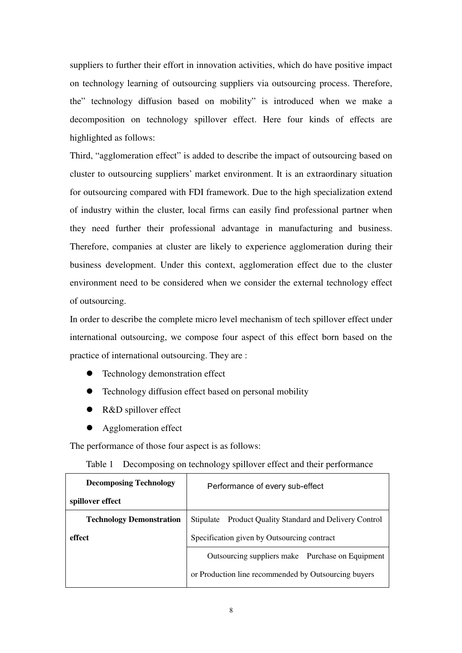suppliers to further their effort in innovation activities, which do have positive impact on technology learning of outsourcing suppliers via outsourcing process. Therefore, the" technology diffusion based on mobility" is introduced when we make a decomposition on technology spillover effect. Here four kinds of effects are highlighted as follows:

Third, "agglomeration effect" is added to describe the impact of outsourcing based on cluster to outsourcing suppliers' market environment. It is an extraordinary situation for outsourcing compared with FDI framework. Due to the high specialization extend of industry within the cluster, local firms can easily find professional partner when they need further their professional advantage in manufacturing and business. Therefore, companies at cluster are likely to experience agglomeration during their business development. Under this context, agglomeration effect due to the cluster environment need to be considered when we consider the external technology effect of outsourcing.

In order to describe the complete micro level mechanism of tech spillover effect under international outsourcing, we compose four aspect of this effect born based on the practice of international outsourcing. They are :

- Technology demonstration effect
- Technology diffusion effect based on personal mobility
- R&D spillover effect
- Agglomeration effect

The performance of those four aspect is as follows:

|  |  |  | Table 1 Decomposing on technology spillover effect and their performance |  |
|--|--|--|--------------------------------------------------------------------------|--|
|--|--|--|--------------------------------------------------------------------------|--|

| <b>Decomposing Technology</b>   | Performance of every sub-effect                            |  |
|---------------------------------|------------------------------------------------------------|--|
| spillover effect                |                                                            |  |
| <b>Technology Demonstration</b> | Product Quality Standard and Delivery Control<br>Stipulate |  |
| effect                          | Specification given by Outsourcing contract                |  |
|                                 | Outsourcing suppliers make Purchase on Equipment           |  |
|                                 | or Production line recommended by Outsourcing buyers       |  |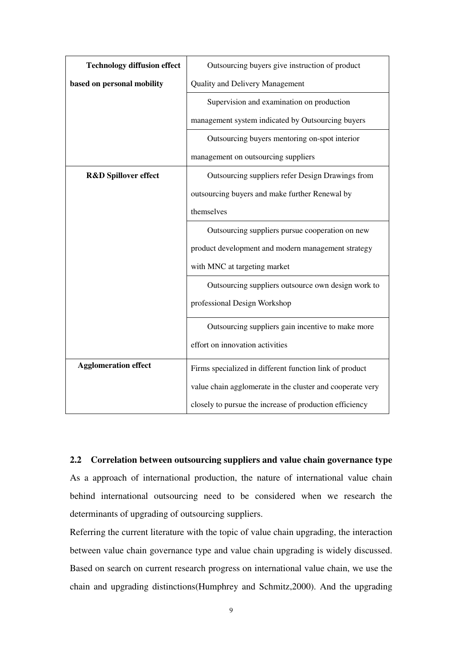| <b>Technology diffusion effect</b> | Outsourcing buyers give instruction of product            |  |
|------------------------------------|-----------------------------------------------------------|--|
| based on personal mobility         | <b>Quality and Delivery Management</b>                    |  |
|                                    | Supervision and examination on production                 |  |
|                                    | management system indicated by Outsourcing buyers         |  |
|                                    | Outsourcing buyers mentoring on-spot interior             |  |
|                                    | management on outsourcing suppliers                       |  |
| <b>R&amp;D Spillover effect</b>    | Outsourcing suppliers refer Design Drawings from          |  |
|                                    | outsourcing buyers and make further Renewal by            |  |
|                                    | themselves                                                |  |
|                                    | Outsourcing suppliers pursue cooperation on new           |  |
|                                    | product development and modern management strategy        |  |
|                                    | with MNC at targeting market                              |  |
|                                    | Outsourcing suppliers outsource own design work to        |  |
|                                    | professional Design Workshop                              |  |
|                                    | Outsourcing suppliers gain incentive to make more         |  |
|                                    | effort on innovation activities                           |  |
| <b>Agglomeration effect</b>        | Firms specialized in different function link of product   |  |
|                                    | value chain agglomerate in the cluster and cooperate very |  |
|                                    | closely to pursue the increase of production efficiency   |  |

# **2.2 Correlation between outsourcing suppliers and value chain governance type**

As a approach of international production, the nature of international value chain behind international outsourcing need to be considered when we research the determinants of upgrading of outsourcing suppliers.

Referring the current literature with the topic of value chain upgrading, the interaction between value chain governance type and value chain upgrading is widely discussed. Based on search on current research progress on international value chain, we use the chain and upgrading distinctions(Humphrey and Schmitz,2000). And the upgrading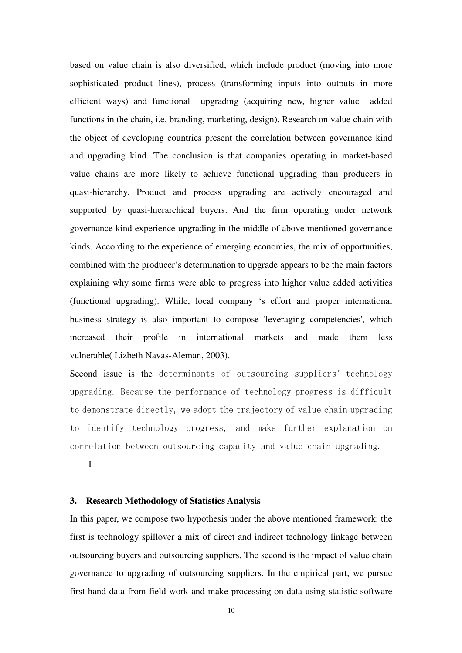based on value chain is also diversified, which include product (moving into more sophisticated product lines), process (transforming inputs into outputs in more efficient ways) and functional upgrading (acquiring new, higher value added functions in the chain, i.e. branding, marketing, design). Research on value chain with the object of developing countries present the correlation between governance kind and upgrading kind. The conclusion is that companies operating in market-based value chains are more likely to achieve functional upgrading than producers in quasi-hierarchy. Product and process upgrading are actively encouraged and supported by quasi-hierarchical buyers. And the firm operating under network governance kind experience upgrading in the middle of above mentioned governance kinds. According to the experience of emerging economies, the mix of opportunities, combined with the producer's determination to upgrade appears to be the main factors explaining why some firms were able to progress into higher value added activities (functional upgrading). While, local company 's effort and proper international business strategy is also important to compose 'leveraging competencies', which increased their profile in international markets and made them less vulnerable( Lizbeth Navas-Aleman, 2003).

Second issue is the determinants of outsourcing suppliers' technology upgrading. Because the performance of technology progress is difficult to demonstrate directly, we adopt the trajectory of value chain upgrading to identify technology progress, and make further explanation on correlation between outsourcing capacity and value chain upgrading.

I

#### **3. Research Methodology of Statistics Analysis**

In this paper, we compose two hypothesis under the above mentioned framework: the first is technology spillover a mix of direct and indirect technology linkage between outsourcing buyers and outsourcing suppliers. The second is the impact of value chain governance to upgrading of outsourcing suppliers. In the empirical part, we pursue first hand data from field work and make processing on data using statistic software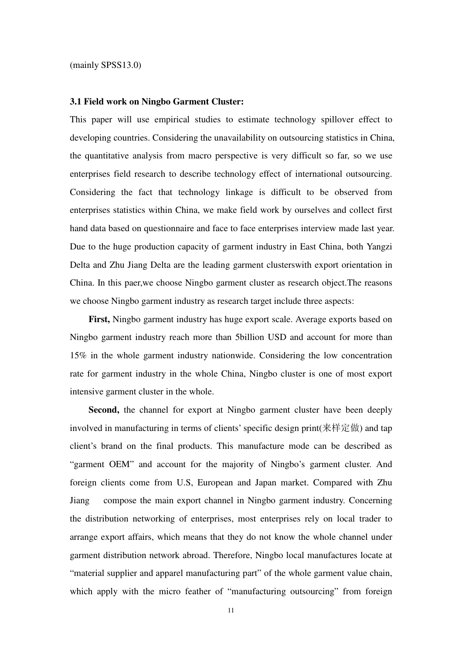(mainly SPSS13.0)

#### **3.1 Field work on Ningbo Garment Cluster:**

This paper will use empirical studies to estimate technology spillover effect to developing countries. Considering the unavailability on outsourcing statistics in China, the quantitative analysis from macro perspective is very difficult so far, so we use enterprises field research to describe technology effect of international outsourcing. Considering the fact that technology linkage is difficult to be observed from enterprises statistics within China, we make field work by ourselves and collect first hand data based on questionnaire and face to face enterprises interview made last year. Due to the huge production capacity of garment industry in East China, both Yangzi Delta and Zhu Jiang Delta are the leading garment clusterswith export orientation in China. In this paer,we choose Ningbo garment cluster as research object.The reasons we choose Ningbo garment industry as research target include three aspects:

First, Ningbo garment industry has huge export scale. Average exports based on Ningbo garment industry reach more than 5billion USD and account for more than 15% in the whole garment industry nationwide. Considering the low concentration rate for garment industry in the whole China, Ningbo cluster is one of most export intensive garment cluster in the whole.

**Second,** the channel for export at Ningbo garment cluster have been deeply involved in manufacturing in terms of clients' specific design print(来样定做) and tap client's brand on the final products. This manufacture mode can be described as "garment OEM" and account for the majority of Ningbo's garment cluster. And foreign clients come from U.S, European and Japan market. Compared with Zhu Jiang compose the main export channel in Ningbo garment industry. Concerning the distribution networking of enterprises, most enterprises rely on local trader to arrange export affairs, which means that they do not know the whole channel under garment distribution network abroad. Therefore, Ningbo local manufactures locate at "material supplier and apparel manufacturing part" of the whole garment value chain, which apply with the micro feather of "manufacturing outsourcing" from foreign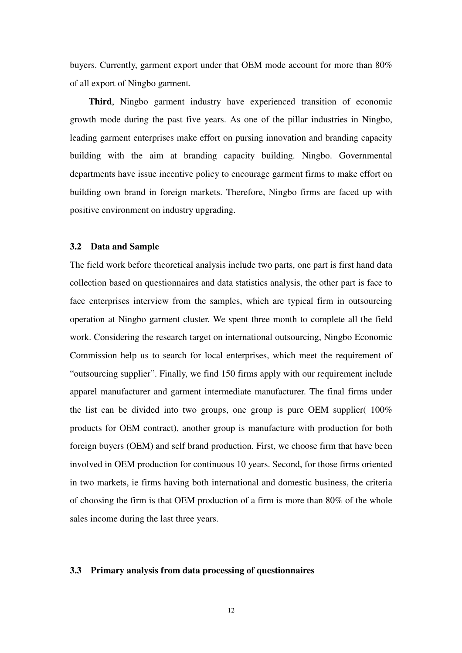buyers. Currently, garment export under that OEM mode account for more than 80% of all export of Ningbo garment.

**Third**, Ningbo garment industry have experienced transition of economic growth mode during the past five years. As one of the pillar industries in Ningbo, leading garment enterprises make effort on pursing innovation and branding capacity building with the aim at branding capacity building. Ningbo. Governmental departments have issue incentive policy to encourage garment firms to make effort on building own brand in foreign markets. Therefore, Ningbo firms are faced up with positive environment on industry upgrading.

#### **3.2 Data and Sample**

The field work before theoretical analysis include two parts, one part is first hand data collection based on questionnaires and data statistics analysis, the other part is face to face enterprises interview from the samples, which are typical firm in outsourcing operation at Ningbo garment cluster. We spent three month to complete all the field work. Considering the research target on international outsourcing, Ningbo Economic Commission help us to search for local enterprises, which meet the requirement of "outsourcing supplier". Finally, we find 150 firms apply with our requirement include apparel manufacturer and garment intermediate manufacturer. The final firms under the list can be divided into two groups, one group is pure OEM supplier( 100% products for OEM contract), another group is manufacture with production for both foreign buyers (OEM) and self brand production. First, we choose firm that have been involved in OEM production for continuous 10 years. Second, for those firms oriented in two markets, ie firms having both international and domestic business, the criteria of choosing the firm is that OEM production of a firm is more than 80% of the whole sales income during the last three years.

#### **3.3 Primary analysis from data processing of questionnaires**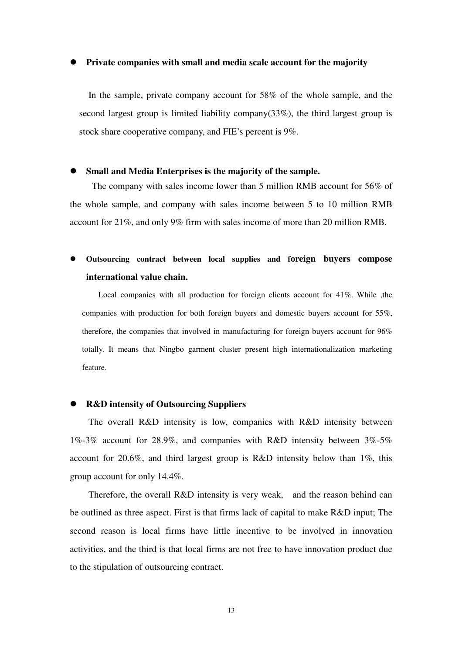#### **Private companies with small and media scale account for the majority**

In the sample, private company account for 58% of the whole sample, and the second largest group is limited liability company( $33\%$ ), the third largest group is stock share cooperative company, and FIE's percent is 9%.

#### **Small and Media Enterprises is the majority of the sample.**

The company with sales income lower than 5 million RMB account for 56% of the whole sample, and company with sales income between 5 to 10 million RMB account for 21%, and only 9% firm with sales income of more than 20 million RMB.

# **Outsourcing contract between local supplies and foreign buyers compose international value chain.**

Local companies with all production for foreign clients account for 41%. While ,the companies with production for both foreign buyers and domestic buyers account for 55%, therefore, the companies that involved in manufacturing for foreign buyers account for 96% totally. It means that Ningbo garment cluster present high internationalization marketing feature.

# **R&D intensity of Outsourcing Suppliers**

The overall R&D intensity is low, companies with R&D intensity between 1%-3% account for 28.9%, and companies with R&D intensity between 3%-5% account for 20.6%, and third largest group is R&D intensity below than 1%, this group account for only 14.4%.

Therefore, the overall R&D intensity is very weak, and the reason behind can be outlined as three aspect. First is that firms lack of capital to make R&D input; The second reason is local firms have little incentive to be involved in innovation activities, and the third is that local firms are not free to have innovation product due to the stipulation of outsourcing contract.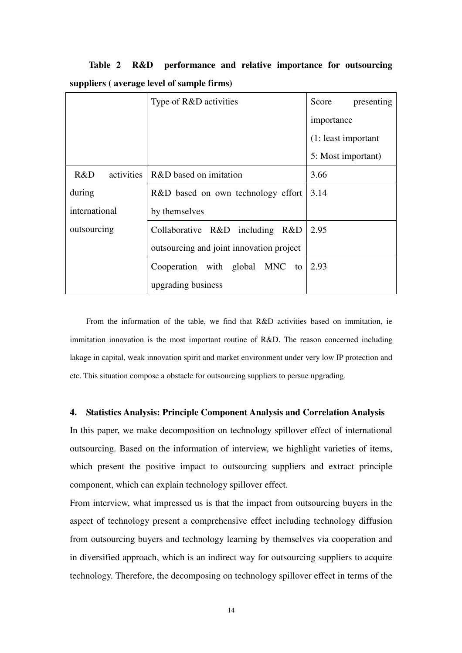**Table 2 R&D performance and relative importance for outsourcing suppliers ( average level of sample firms)** 

|               | Type of R&D activities                   | Score<br>presenting  |  |
|---------------|------------------------------------------|----------------------|--|
|               |                                          | importance           |  |
|               |                                          | (1: least important) |  |
|               |                                          | 5: Most important)   |  |
| R&D           | activities   R&D based on imitation      | 3.66                 |  |
| during        | R&D based on own technology effort       | 3.14                 |  |
| international | by themselves                            |                      |  |
| outsourcing   | Collaborative R&D including R&D          | 2.95                 |  |
|               | outsourcing and joint innovation project |                      |  |
|               | Cooperation with global MNC to           | 2.93                 |  |
|               | upgrading business                       |                      |  |

From the information of the table, we find that R&D activities based on immitation, ie immitation innovation is the most important routine of R&D. The reason concerned including lakage in capital, weak innovation spirit and market environment under very low IP protection and etc. This situation compose a obstacle for outsourcing suppliers to persue upgrading.

# **4. Statistics Analysis: Principle Component Analysis and Correlation Analysis**

In this paper, we make decomposition on technology spillover effect of international outsourcing. Based on the information of interview, we highlight varieties of items, which present the positive impact to outsourcing suppliers and extract principle component, which can explain technology spillover effect.

From interview, what impressed us is that the impact from outsourcing buyers in the aspect of technology present a comprehensive effect including technology diffusion from outsourcing buyers and technology learning by themselves via cooperation and in diversified approach, which is an indirect way for outsourcing suppliers to acquire technology. Therefore, the decomposing on technology spillover effect in terms of the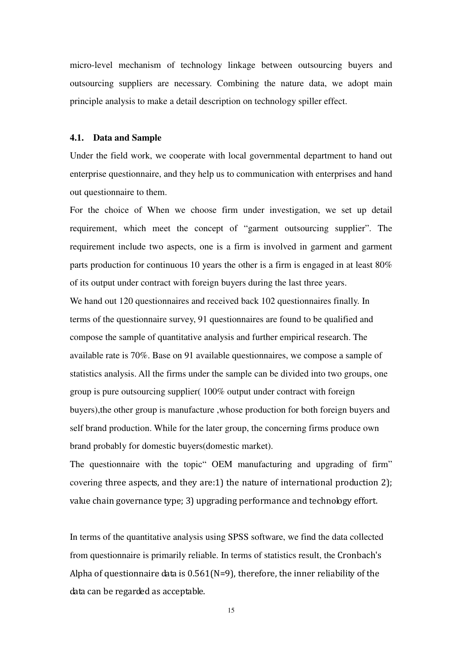micro-level mechanism of technology linkage between outsourcing buyers and outsourcing suppliers are necessary. Combining the nature data, we adopt main principle analysis to make a detail description on technology spiller effect.

#### **4.1. Data and Sample**

Under the field work, we cooperate with local governmental department to hand out enterprise questionnaire, and they help us to communication with enterprises and hand out questionnaire to them.

For the choice of When we choose firm under investigation, we set up detail requirement, which meet the concept of "garment outsourcing supplier". The requirement include two aspects, one is a firm is involved in garment and garment parts production for continuous 10 years the other is a firm is engaged in at least 80% of its output under contract with foreign buyers during the last three years.

We hand out 120 questionnaires and received back 102 questionnaires finally. In terms of the questionnaire survey, 91 questionnaires are found to be qualified and compose the sample of quantitative analysis and further empirical research. The available rate is 70%. Base on 91 available questionnaires, we compose a sample of statistics analysis. All the firms under the sample can be divided into two groups, one group is pure outsourcing supplier( 100% output under contract with foreign buyers),the other group is manufacture ,whose production for both foreign buyers and self brand production. While for the later group, the concerning firms produce own brand probably for domestic buyers(domestic market).

The questionnaire with the topic" OEM manufacturing and upgrading of firm" covering three aspects, and they are:1) the nature of international production 2); value chain governance type; 3) upgrading performance and technology effort.

In terms of the quantitative analysis using SPSS software, we find the data collected from questionnaire is primarily reliable. In terms of statistics result, the Cronbach's Alpha of questionnaire data is  $0.561(N=9)$ , therefore, the inner reliability of the data can be regarded as acceptable.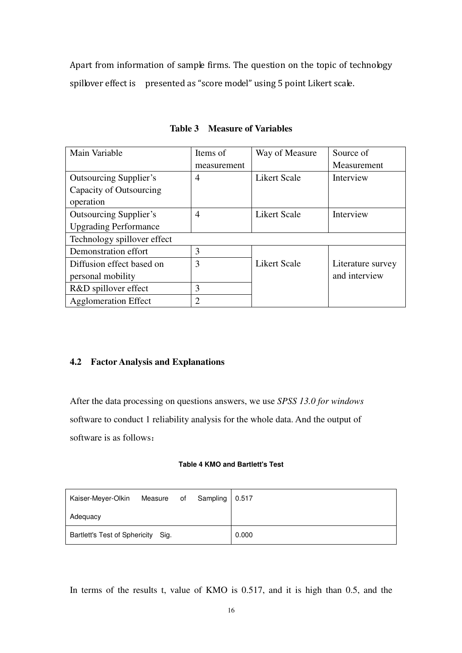Apart from information of sample firms. The question on the topic of technology spillover effect is presented as "score model" using 5 point Likert scale.

| Main Variable                 | Items of    | Way of Measure      | Source of         |
|-------------------------------|-------------|---------------------|-------------------|
|                               | measurement |                     | Measurement       |
| <b>Outsourcing Supplier's</b> | 4           | Likert Scale        | Interview         |
| Capacity of Outsourcing       |             |                     |                   |
| operation                     |             |                     |                   |
| <b>Outsourcing Supplier's</b> | 4           | <b>Likert Scale</b> | Interview         |
| <b>Upgrading Performance</b>  |             |                     |                   |
| Technology spillover effect   |             |                     |                   |
| Demonstration effort          | 3           |                     |                   |
| Diffusion effect based on     | 3           | <b>Likert Scale</b> | Literature survey |
| personal mobility             |             |                     | and interview     |
| R&D spillover effect          | 3           |                     |                   |
| <b>Agglomeration Effect</b>   | 2           |                     |                   |

**Table 3 Measure of Variables** 

# **4.2 Factor Analysis and Explanations**

After the data processing on questions answers, we use *SPSS 13.0 for windows* software to conduct 1 reliability analysis for the whole data. And the output of software is as follows:

# **Table 4 KMO and Bartlett's Test**

| Kaiser-Meyer-Olkin                 |  | Measure of Sampling 0.517 |       |
|------------------------------------|--|---------------------------|-------|
| Adequacy                           |  |                           |       |
| Bartlett's Test of Sphericity Sig. |  |                           | 0.000 |

In terms of the results t, value of KMO is 0.517, and it is high than 0.5, and the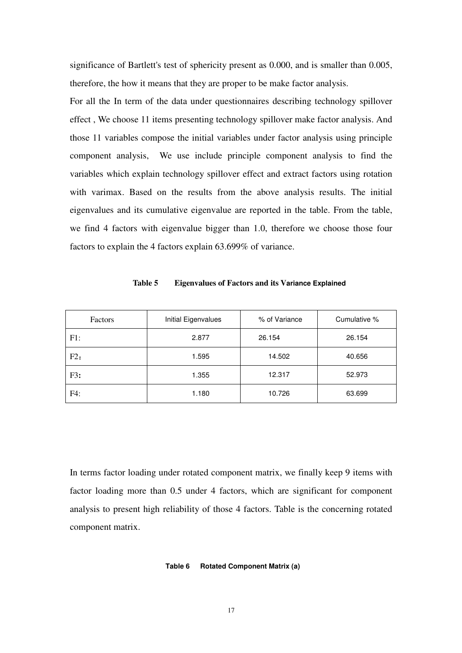significance of Bartlett's test of sphericity present as 0.000, and is smaller than 0.005, therefore, the how it means that they are proper to be make factor analysis.

For all the In term of the data under questionnaires describing technology spillover effect , We choose 11 items presenting technology spillover make factor analysis. And those 11 variables compose the initial variables under factor analysis using principle component analysis, We use include principle component analysis to find the variables which explain technology spillover effect and extract factors using rotation with varimax. Based on the results from the above analysis results. The initial eigenvalues and its cumulative eigenvalue are reported in the table. From the table, we find 4 factors with eigenvalue bigger than 1.0, therefore we choose those four factors to explain the 4 factors explain 63.699% of variance.

| Factors | Initial Eigenvalues | % of Variance | Cumulative % |  |
|---------|---------------------|---------------|--------------|--|
| F1:     | 2.877               | 26.154        | 26.154       |  |
| F2:     | 1.595               | 14.502        | 40.656       |  |
| F3:     | 1.355               | 12.317        | 52.973       |  |
| F4:     | 1.180               | 10.726        | 63.699       |  |

**Table 5 Eigenvalues of Factors and its Variance Explained**

In terms factor loading under rotated component matrix, we finally keep 9 items with factor loading more than 0.5 under 4 factors, which are significant for component analysis to present high reliability of those 4 factors. Table is the concerning rotated component matrix.

#### **Table 6 Rotated Component Matrix (a)**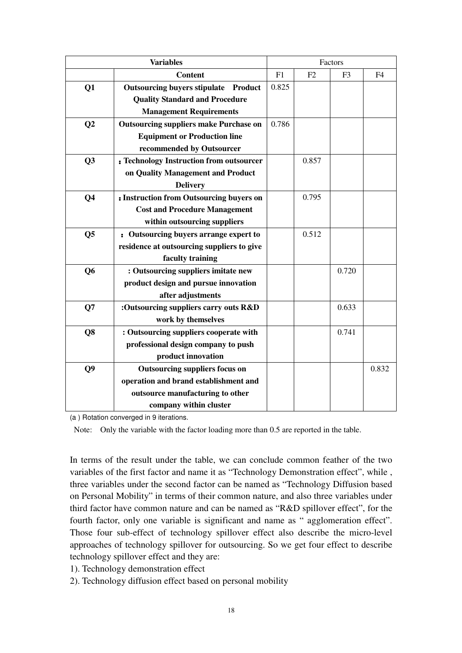|                | <b>Variables</b>                               | Factors |       |                |                |
|----------------|------------------------------------------------|---------|-------|----------------|----------------|
|                | <b>Content</b>                                 | F1      | F2    | F <sub>3</sub> | F <sub>4</sub> |
| Q1             | <b>Outsourcing buyers stipulate</b><br>Product | 0.825   |       |                |                |
|                | <b>Quality Standard and Procedure</b>          |         |       |                |                |
|                | <b>Management Requirements</b>                 |         |       |                |                |
| Q <sub>2</sub> | <b>Outsourcing suppliers make Purchase on</b>  | 0.786   |       |                |                |
|                | <b>Equipment or Production line</b>            |         |       |                |                |
|                | recommended by Outsourcer                      |         |       |                |                |
| Q3             | : Technology Instruction from outsourcer       |         | 0.857 |                |                |
|                | on Quality Management and Product              |         |       |                |                |
|                | <b>Delivery</b>                                |         |       |                |                |
| Q <sub>4</sub> | : Instruction from Outsourcing buyers on       |         | 0.795 |                |                |
|                | <b>Cost and Procedure Management</b>           |         |       |                |                |
|                | within outsourcing suppliers                   |         |       |                |                |
| Q <sub>5</sub> | : Outsourcing buyers arrange expert to         |         | 0.512 |                |                |
|                | residence at outsourcing suppliers to give     |         |       |                |                |
|                | faculty training                               |         |       |                |                |
| Q <sub>6</sub> | : Outsourcing suppliers imitate new            |         |       | 0.720          |                |
|                | product design and pursue innovation           |         |       |                |                |
|                | after adjustments                              |         |       |                |                |
| Q7             | :Outsourcing suppliers carry outs R&D          |         |       | 0.633          |                |
|                | work by themselves                             |         |       |                |                |
| Q <sub>8</sub> | : Outsourcing suppliers cooperate with         |         |       | 0.741          |                |
|                | professional design company to push            |         |       |                |                |
|                | product innovation                             |         |       |                |                |
| Q <sub>9</sub> | Outsourcing suppliers focus on                 |         |       |                | 0.832          |
|                | operation and brand establishment and          |         |       |                |                |
|                | outsource manufacturing to other               |         |       |                |                |
|                | company within cluster                         |         |       |                |                |

(a ) Rotation converged in 9 iterations.

Note: Only the variable with the factor loading more than 0.5 are reported in the table.

In terms of the result under the table, we can conclude common feather of the two variables of the first factor and name it as "Technology Demonstration effect", while , three variables under the second factor can be named as "Technology Diffusion based on Personal Mobility" in terms of their common nature, and also three variables under third factor have common nature and can be named as "R&D spillover effect", for the fourth factor, only one variable is significant and name as " agglomeration effect". Those four sub-effect of technology spillover effect also describe the micro-level approaches of technology spillover for outsourcing. So we get four effect to describe technology spillover effect and they are:

1). Technology demonstration effect

2). Technology diffusion effect based on personal mobility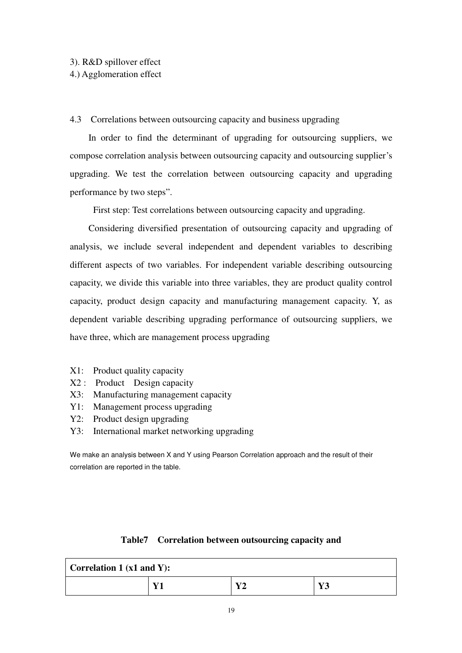## 3). R&D spillover effect

# 4.) Agglomeration effect

# 4.3 Correlations between outsourcing capacity and business upgrading

In order to find the determinant of upgrading for outsourcing suppliers, we compose correlation analysis between outsourcing capacity and outsourcing supplier's upgrading. We test the correlation between outsourcing capacity and upgrading performance by two steps".

First step: Test correlations between outsourcing capacity and upgrading.

Considering diversified presentation of outsourcing capacity and upgrading of analysis, we include several independent and dependent variables to describing different aspects of two variables. For independent variable describing outsourcing capacity, we divide this variable into three variables, they are product quality control capacity, product design capacity and manufacturing management capacity. Y, as dependent variable describing upgrading performance of outsourcing suppliers, we have three, which are management process upgrading

- X1: Product quality capacity
- X2 : Product Design capacity
- X3: Manufacturing management capacity
- Y1: Management process upgrading
- Y2: Product design upgrading
- Y3: International market networking upgrading

We make an analysis between X and Y using Pearson Correlation approach and the result of their correlation are reported in the table.

# **Table7 Correlation between outsourcing capacity and**

| <b>Correlation 1 (x1 and Y):</b> |    |     |                     |
|----------------------------------|----|-----|---------------------|
|                                  | V1 | 374 | $\mathbf{V}$<br>⊥ J |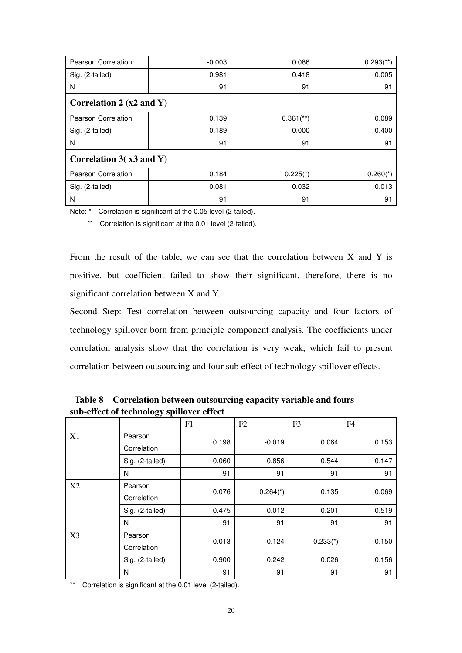| Pearson Correlation                 | $-0.003$ | 0.086                   | $0.293$ <sup>**</sup> ) |  |
|-------------------------------------|----------|-------------------------|-------------------------|--|
| Sig. (2-tailed)                     | 0.981    | 0.418                   | 0.005                   |  |
| N                                   | 91       | 91                      | 91                      |  |
| Correlation 2 $(x2 \text{ and } Y)$ |          |                         |                         |  |
| Pearson Correlation                 | 0.139    | $0.361$ <sup>**</sup> ) | 0.089                   |  |
| Sig. (2-tailed)                     | 0.189    | 0.000                   | 0.400                   |  |
| N                                   | 91       | 91                      | 91                      |  |
| Correlation $3(x3 \text{ and } Y)$  |          |                         |                         |  |
| Pearson Correlation                 | 0.184    | $0.225(*)$              | $0.260$ <sup>*</sup> )  |  |
| Sig. (2-tailed)                     | 0.081    | 0.032                   | 0.013                   |  |
| N                                   | 91       | 91                      | 91                      |  |

Note: \* Correlation is significant at the 0.05 level (2-tailed).

\*\* Correlation is significant at the 0.01 level (2-tailed).

From the result of the table, we can see that the correlation between  $X$  and  $Y$  is positive, but coefficient failed to show their significant, therefore, there is no significant correlation between X and Y.

Second Step: Test correlation between outsourcing capacity and four factors of technology spillover born from principle component analysis. The coefficients under correlation analysis show that the correlation is very weak, which fail to present correlation between outsourcing and four sub effect of technology spillover effects.

|    |                        | F1    | F2                     | F <sub>3</sub> | F4    |
|----|------------------------|-------|------------------------|----------------|-------|
| X1 | Pearson<br>Correlation | 0.198 | $-0.019$               | 0.064          | 0.153 |
|    | Sig. (2-tailed)        | 0.060 | 0.856                  | 0.544          | 0.147 |
|    | N                      | 91    | 91                     | 91             | 91    |
| X2 | Pearson<br>Correlation | 0.076 | $0.264$ <sup>*</sup> ) | 0.135          | 0.069 |
|    | Sig. (2-tailed)        | 0.475 | 0.012                  | 0.201          | 0.519 |
|    | N                      | 91    | 91                     | 91             | 91    |
| X3 | Pearson<br>Correlation | 0.013 | 0.124                  | $0.233(*)$     | 0.150 |
|    | Sig. (2-tailed)        | 0.900 | 0.242                  | 0.026          | 0.156 |
|    | N                      | 91    | 91                     | 91             | 91    |

 **Table 8 Correlation between outsourcing capacity variable and fours sub-effect of technology spillover effect** 

\*\* Correlation is significant at the 0.01 level (2-tailed).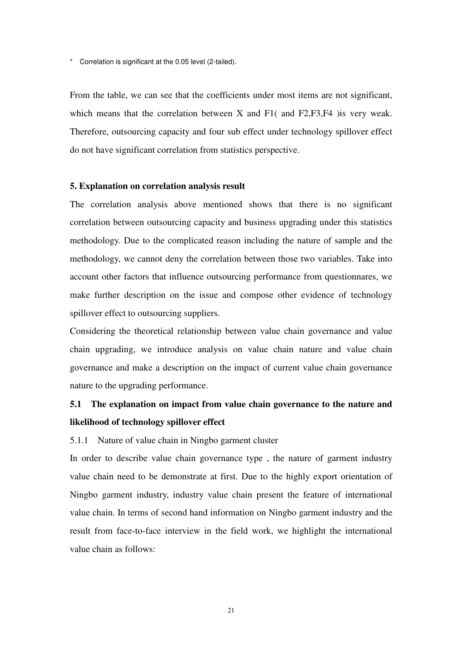\* Correlation is significant at the 0.05 level (2-tailed).

From the table, we can see that the coefficients under most items are not significant, which means that the correlation between X and F1( and F2, F3, F4) is very weak. Therefore, outsourcing capacity and four sub effect under technology spillover effect do not have significant correlation from statistics perspective.

#### **5. Explanation on correlation analysis result**

The correlation analysis above mentioned shows that there is no significant correlation between outsourcing capacity and business upgrading under this statistics methodology. Due to the complicated reason including the nature of sample and the methodology, we cannot deny the correlation between those two variables. Take into account other factors that influence outsourcing performance from questionnares, we make further description on the issue and compose other evidence of technology spillover effect to outsourcing suppliers.

Considering the theoretical relationship between value chain governance and value chain upgrading, we introduce analysis on value chain nature and value chain governance and make a description on the impact of current value chain governance nature to the upgrading performance.

# **5.1 The explanation on impact from value chain governance to the nature and likelihood of technology spillover effect**

#### 5.1.1 Nature of value chain in Ningbo garment cluster

In order to describe value chain governance type , the nature of garment industry value chain need to be demonstrate at first. Due to the highly export orientation of Ningbo garment industry, industry value chain present the feature of international value chain. In terms of second hand information on Ningbo garment industry and the result from face-to-face interview in the field work, we highlight the international value chain as follows: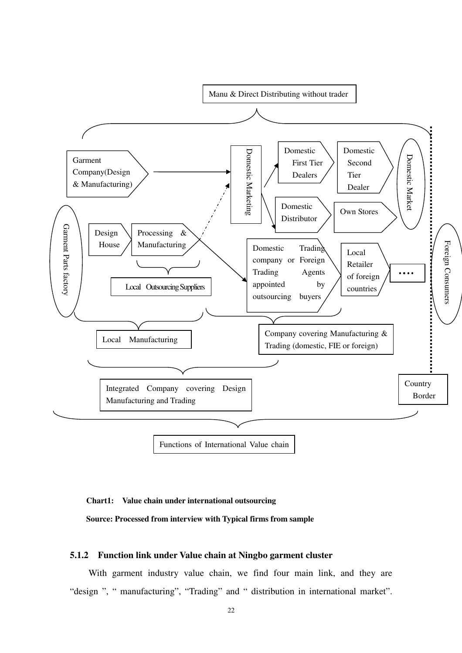

#### **Chart1: Value chain under international outsourcing**

**Source: Processed from interview with Typical firms from sample** 

# **5.1.2 Function link under Value chain at Ningbo garment cluster**

With garment industry value chain, we find four main link, and they are "design ", " manufacturing", "Trading" and " distribution in international market".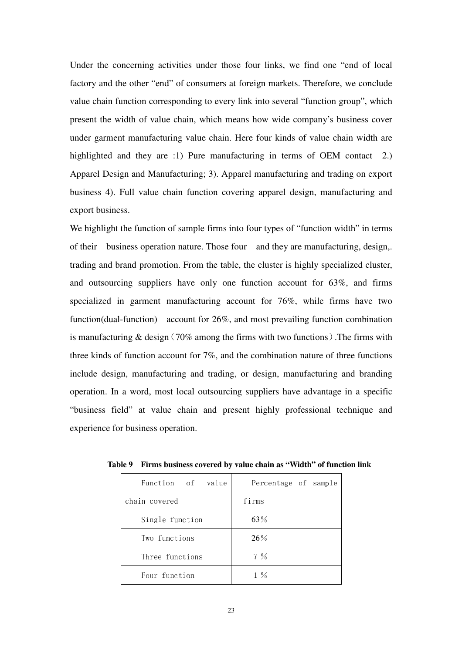Under the concerning activities under those four links, we find one "end of local factory and the other "end" of consumers at foreign markets. Therefore, we conclude value chain function corresponding to every link into several "function group", which present the width of value chain, which means how wide company's business cover under garment manufacturing value chain. Here four kinds of value chain width are highlighted and they are :1) Pure manufacturing in terms of OEM contact 2.) Apparel Design and Manufacturing; 3). Apparel manufacturing and trading on export business 4). Full value chain function covering apparel design, manufacturing and export business.

We highlight the function of sample firms into four types of "function width" in terms of their business operation nature. Those four and they are manufacturing, design,. trading and brand promotion. From the table, the cluster is highly specialized cluster, and outsourcing suppliers have only one function account for 63%, and firms specialized in garment manufacturing account for 76%, while firms have two function(dual-function) account for 26%, and most prevailing function combination is manufacturing  $&$  design (70% among the firms with two functions). The firms with three kinds of function account for 7%, and the combination nature of three functions include design, manufacturing and trading, or design, manufacturing and branding operation. In a word, most local outsourcing suppliers have advantage in a specific "business field" at value chain and present highly professional technique and experience for business operation.

| Function of value | Percentage of sample |
|-------------------|----------------------|
| chain covered     | firms                |
| Single function   | 63%                  |
| Two functions     | 26%                  |
| Three functions   | $7\%$                |
| Four function     | $1\%$                |

**Table 9 Firms business covered by value chain as "Width" of function link**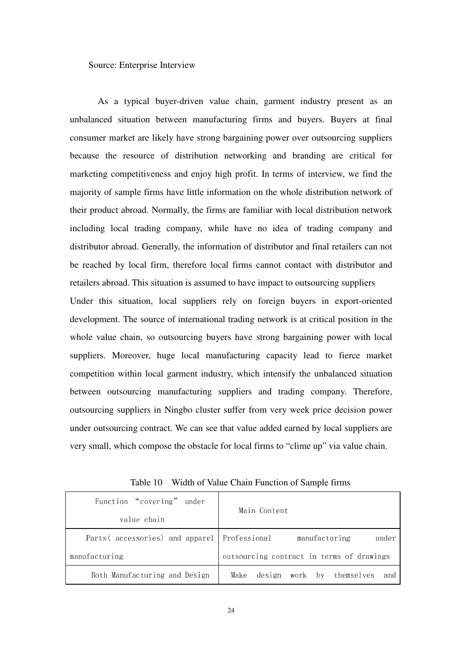Source: Enterprise Interview

 As a typical buyer-driven value chain, garment industry present as an unbalanced situation between manufacturing firms and buyers. Buyers at final consumer market are likely have strong bargaining power over outsourcing suppliers because the resource of distribution networking and branding are critical for marketing competitiveness and enjoy high profit. In terms of interview, we find the majority of sample firms have little information on the whole distribution network of their product abroad. Normally, the firms are familiar with local distribution network including local trading company, while have no idea of trading company and distributor abroad. Generally, the information of distributor and final retailers can not be reached by local firm, therefore local firms cannot contact with distributor and retailers abroad. This situation is assumed to have impact to outsourcing suppliers Under this situation, local suppliers rely on foreign buyers in export-oriented development. The source of international trading network is at critical position in the whole value chain, so outsourcing buyers have strong bargaining power with local

suppliers. Moreover, huge local manufacturing capacity lead to fierce market competition within local garment industry, which intensify the unbalanced situation between outsourcing manufacturing suppliers and trading company. Therefore, outsourcing suppliers in Ningbo cluster suffer from very week price decision power under outsourcing contract. We can see that value added earned by local suppliers are very small, which compose the obstacle for local firms to "clime up" via value chain.

| Function "covering" under                    | Main Content                              |  |  |
|----------------------------------------------|-------------------------------------------|--|--|
| value chain                                  |                                           |  |  |
| Parts (accessories) and apparel Professional | manufacturing<br>under                    |  |  |
| manufacturing                                | outsourcing contract in terms of drawings |  |  |
| Both Manufacturing and Design                | design work by themselves<br>Make<br>and  |  |  |

Table 10 Width of Value Chain Function of Sample firms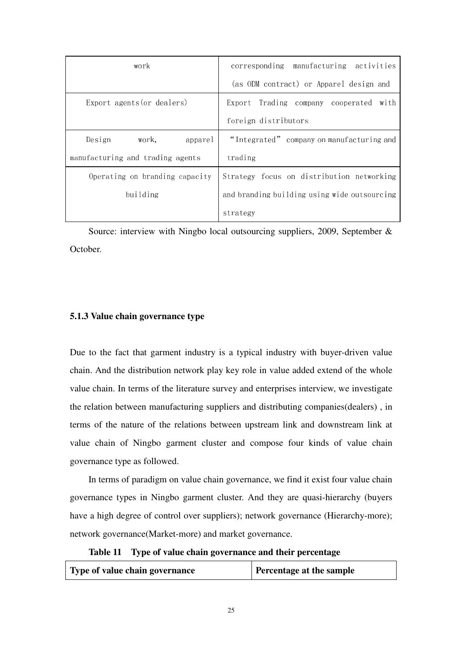| work                             | corresponding manufacturing activities       |
|----------------------------------|----------------------------------------------|
|                                  | (as ODM contract) or Apparel design and      |
| Export agents (or dealers)       | Export Trading company cooperated with       |
|                                  | foreign distributors                         |
| Design<br>work,<br>apparel       | "Integrated" company on manufacturing and    |
| manufacturing and trading agents | trading                                      |
| Operating on branding capacity   | Strategy focus on distribution networking    |
| building                         | and branding building using wide outsourcing |
|                                  | strategy                                     |

Source: interview with Ningbo local outsourcing suppliers, 2009, September & October.

# **5.1.3 Value chain governance type**

Due to the fact that garment industry is a typical industry with buyer-driven value chain. And the distribution network play key role in value added extend of the whole value chain. In terms of the literature survey and enterprises interview, we investigate the relation between manufacturing suppliers and distributing companies(dealers) , in terms of the nature of the relations between upstream link and downstream link at value chain of Ningbo garment cluster and compose four kinds of value chain governance type as followed.

In terms of paradigm on value chain governance, we find it exist four value chain governance types in Ningbo garment cluster. And they are quasi-hierarchy (buyers have a high degree of control over suppliers); network governance (Hierarchy-more); network governance(Market-more) and market governance.

**Table 11 Type of value chain governance and their percentage**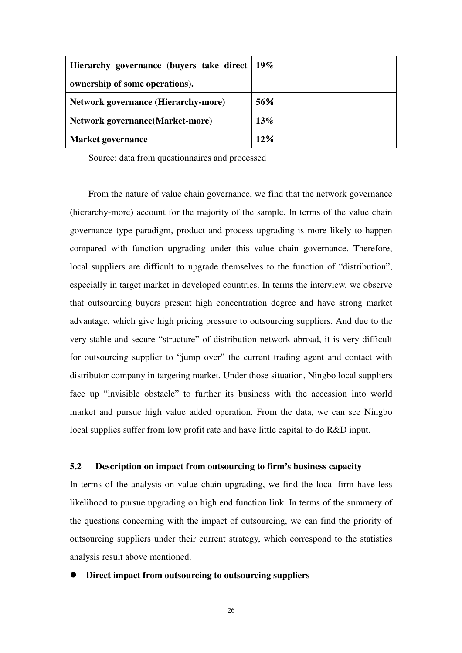| Hierarchy governance (buyers take direct 19% |        |
|----------------------------------------------|--------|
| ownership of some operations).               |        |
| <b>Network governance (Hierarchy-more)</b>   | 56%    |
| <b>Network governance (Market-more)</b>      | $13\%$ |
| <b>Market governance</b>                     | 12%    |

Source: data from questionnaires and processed

From the nature of value chain governance, we find that the network governance (hierarchy-more) account for the majority of the sample. In terms of the value chain governance type paradigm, product and process upgrading is more likely to happen compared with function upgrading under this value chain governance. Therefore, local suppliers are difficult to upgrade themselves to the function of "distribution", especially in target market in developed countries. In terms the interview, we observe that outsourcing buyers present high concentration degree and have strong market advantage, which give high pricing pressure to outsourcing suppliers. And due to the very stable and secure "structure" of distribution network abroad, it is very difficult for outsourcing supplier to "jump over" the current trading agent and contact with distributor company in targeting market. Under those situation, Ningbo local suppliers face up "invisible obstacle" to further its business with the accession into world market and pursue high value added operation. From the data, we can see Ningbo local supplies suffer from low profit rate and have little capital to do R&D input.

# **5.2 Description on impact from outsourcing to firm's business capacity**

In terms of the analysis on value chain upgrading, we find the local firm have less likelihood to pursue upgrading on high end function link. In terms of the summery of the questions concerning with the impact of outsourcing, we can find the priority of outsourcing suppliers under their current strategy, which correspond to the statistics analysis result above mentioned.

#### **Direct impact from outsourcing to outsourcing suppliers**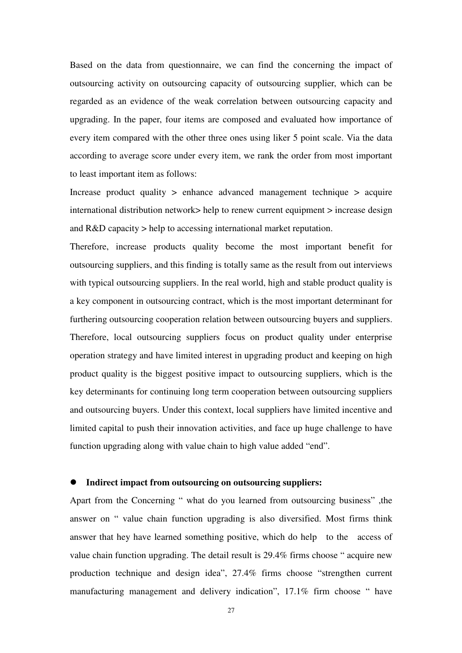Based on the data from questionnaire, we can find the concerning the impact of outsourcing activity on outsourcing capacity of outsourcing supplier, which can be regarded as an evidence of the weak correlation between outsourcing capacity and upgrading. In the paper, four items are composed and evaluated how importance of every item compared with the other three ones using liker 5 point scale. Via the data according to average score under every item, we rank the order from most important to least important item as follows:

Increase product quality > enhance advanced management technique > acquire international distribution network> help to renew current equipment > increase design and R&D capacity > help to accessing international market reputation.

Therefore, increase products quality become the most important benefit for outsourcing suppliers, and this finding is totally same as the result from out interviews with typical outsourcing suppliers. In the real world, high and stable product quality is a key component in outsourcing contract, which is the most important determinant for furthering outsourcing cooperation relation between outsourcing buyers and suppliers. Therefore, local outsourcing suppliers focus on product quality under enterprise operation strategy and have limited interest in upgrading product and keeping on high product quality is the biggest positive impact to outsourcing suppliers, which is the key determinants for continuing long term cooperation between outsourcing suppliers and outsourcing buyers. Under this context, local suppliers have limited incentive and limited capital to push their innovation activities, and face up huge challenge to have function upgrading along with value chain to high value added "end".

# **Indirect impact from outsourcing on outsourcing suppliers:**

Apart from the Concerning " what do you learned from outsourcing business" ,the answer on " value chain function upgrading is also diversified. Most firms think answer that hey have learned something positive, which do help to the access of value chain function upgrading. The detail result is 29.4% firms choose " acquire new production technique and design idea", 27.4% firms choose "strengthen current manufacturing management and delivery indication", 17.1% firm choose " have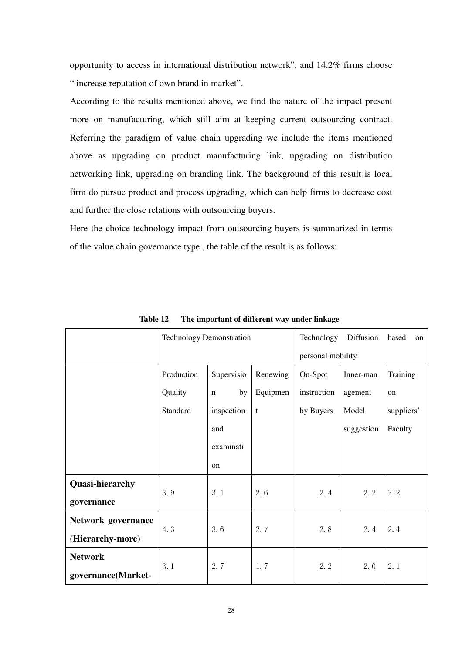opportunity to access in international distribution network", and 14.2% firms choose " increase reputation of own brand in market".

According to the results mentioned above, we find the nature of the impact present more on manufacturing, which still aim at keeping current outsourcing contract. Referring the paradigm of value chain upgrading we include the items mentioned above as upgrading on product manufacturing link, upgrading on distribution networking link, upgrading on branding link. The background of this result is local firm do pursue product and process upgrading, which can help firms to decrease cost and further the close relations with outsourcing buyers.

Here the choice technology impact from outsourcing buyers is summarized in terms of the value chain governance type , the table of the result is as follows:

|                        | <b>Technology Demonstration</b> |                   |          | Technology        | Diffusion  | based<br>on |  |
|------------------------|---------------------------------|-------------------|----------|-------------------|------------|-------------|--|
|                        |                                 |                   |          | personal mobility |            |             |  |
|                        | Production                      | Supervisio        | Renewing | On-Spot           | Inner-man  | Training    |  |
|                        | Quality                         | by<br>$\mathbf n$ | Equipmen | instruction       | agement    | on          |  |
|                        | Standard                        | inspection        | t        | by Buyers         | Model      | suppliers'  |  |
|                        |                                 | and               |          |                   | suggestion | Faculty     |  |
|                        |                                 | examinati         |          |                   |            |             |  |
|                        |                                 | on                |          |                   |            |             |  |
| <b>Quasi-hierarchy</b> |                                 |                   |          |                   |            |             |  |
| governance             | 3.9                             | 3.1               | 2.6      | 2.4               | 2.2        | 2.2         |  |
| Network governance     |                                 |                   |          |                   |            |             |  |
| (Hierarchy-more)       | 4.3                             | 3.6               | 2.7      | 2.8               | 2.4        | 2.4         |  |
| <b>Network</b>         |                                 |                   |          |                   |            |             |  |
| governance(Market-     | 3.1                             | 2.7               | 1.7      | 2.2               | 2.0        | 2.1         |  |

**Table 12 The important of different way under linkage**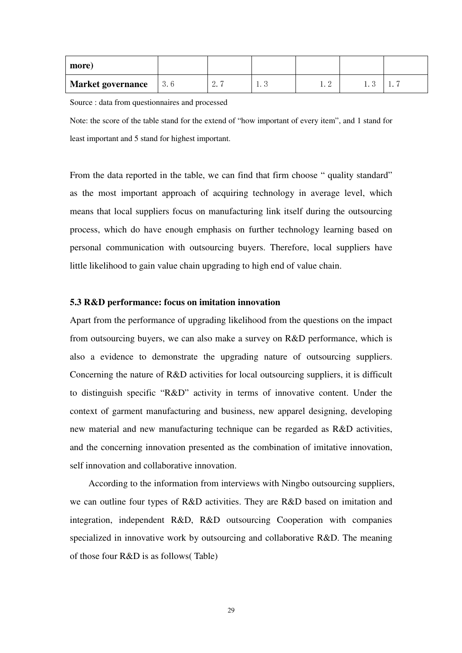| more)                    |     |                |                               |             |     |     |
|--------------------------|-----|----------------|-------------------------------|-------------|-----|-----|
| <b>Market governance</b> | 3.6 | $\sim \cdot$ 1 | $\mathbf{1} \cdot \mathbf{0}$ | 1. <i>4</i> | . . | . . |

Source : data from questionnaires and processed

Note: the score of the table stand for the extend of "how important of every item", and 1 stand for least important and 5 stand for highest important.

From the data reported in the table, we can find that firm choose " quality standard" as the most important approach of acquiring technology in average level, which means that local suppliers focus on manufacturing link itself during the outsourcing process, which do have enough emphasis on further technology learning based on personal communication with outsourcing buyers. Therefore, local suppliers have little likelihood to gain value chain upgrading to high end of value chain.

#### **5.3 R&D performance: focus on imitation innovation**

Apart from the performance of upgrading likelihood from the questions on the impact from outsourcing buyers, we can also make a survey on R&D performance, which is also a evidence to demonstrate the upgrading nature of outsourcing suppliers. Concerning the nature of R&D activities for local outsourcing suppliers, it is difficult to distinguish specific "R&D" activity in terms of innovative content. Under the context of garment manufacturing and business, new apparel designing, developing new material and new manufacturing technique can be regarded as R&D activities, and the concerning innovation presented as the combination of imitative innovation, self innovation and collaborative innovation.

According to the information from interviews with Ningbo outsourcing suppliers, we can outline four types of R&D activities. They are R&D based on imitation and integration, independent R&D, R&D outsourcing Cooperation with companies specialized in innovative work by outsourcing and collaborative R&D. The meaning of those four R&D is as follows( Table)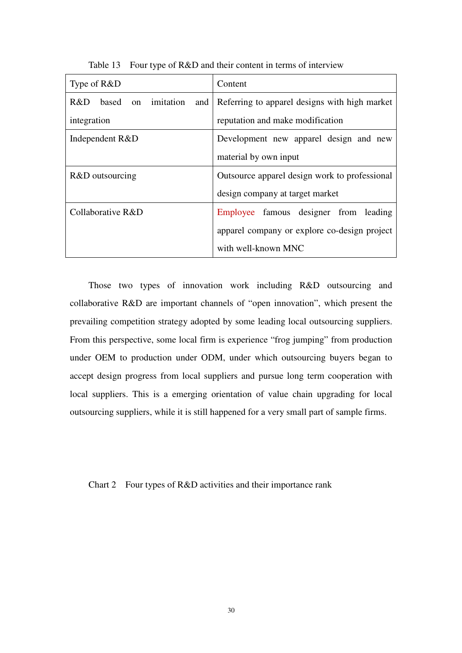| Type of R&D                      | Content                                       |  |  |  |
|----------------------------------|-----------------------------------------------|--|--|--|
| R&D<br>based on imitation<br>and | Referring to apparel designs with high market |  |  |  |
| integration                      | reputation and make modification              |  |  |  |
| Independent R&D                  | Development new apparel design and new        |  |  |  |
|                                  | material by own input                         |  |  |  |
| R&D outsourcing                  | Outsource apparel design work to professional |  |  |  |
|                                  | design company at target market               |  |  |  |
| Collaborative R&D                | Employee famous designer from leading         |  |  |  |
|                                  | apparel company or explore co-design project  |  |  |  |
|                                  | with well-known MNC                           |  |  |  |

Table 13 Four type of R&D and their content in terms of interview

Those two types of innovation work including R&D outsourcing and collaborative R&D are important channels of "open innovation", which present the prevailing competition strategy adopted by some leading local outsourcing suppliers. From this perspective, some local firm is experience "frog jumping" from production under OEM to production under ODM, under which outsourcing buyers began to accept design progress from local suppliers and pursue long term cooperation with local suppliers. This is a emerging orientation of value chain upgrading for local outsourcing suppliers, while it is still happened for a very small part of sample firms.

Chart 2 Four types of R&D activities and their importance rank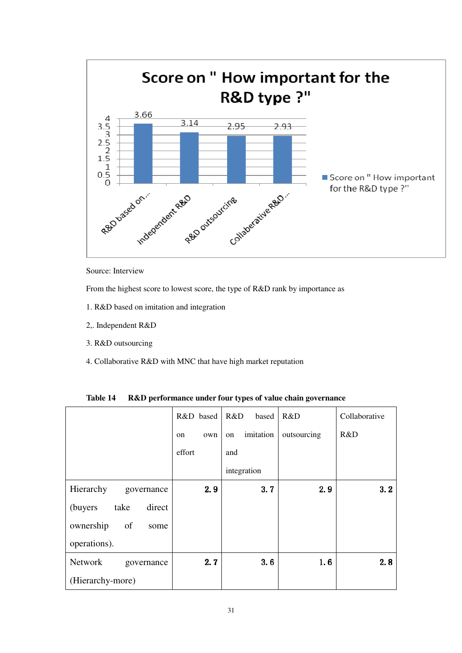

Source: Interview

From the highest score to lowest score, the type of R&D rank by importance as

- 1. R&D based on imitation and integration
- 2,. Independent R&D
- 3. R&D outsourcing
- 4. Collaborative R&D with MNC that have high market reputation

|                                    | R&D based | R&D<br>based    | R&D         | Collaborative |
|------------------------------------|-----------|-----------------|-------------|---------------|
|                                    | own<br>on | imitation<br>on | outsourcing | R&D           |
|                                    | effort    | and             |             |               |
|                                    |           | integration     |             |               |
| Hierarchy<br>governance            | 2.9       | 3.7             | 2.9         | 3.2           |
| take<br>direct<br>(buyers)         |           |                 |             |               |
| ownership<br><sub>of</sub><br>some |           |                 |             |               |
| operations).                       |           |                 |             |               |
| Network<br>governance              | 2.7       | 3.6             | 1.6         | 2.8           |
| (Hierarchy-more)                   |           |                 |             |               |

**Table 14 R&D performance under four types of value chain governance**